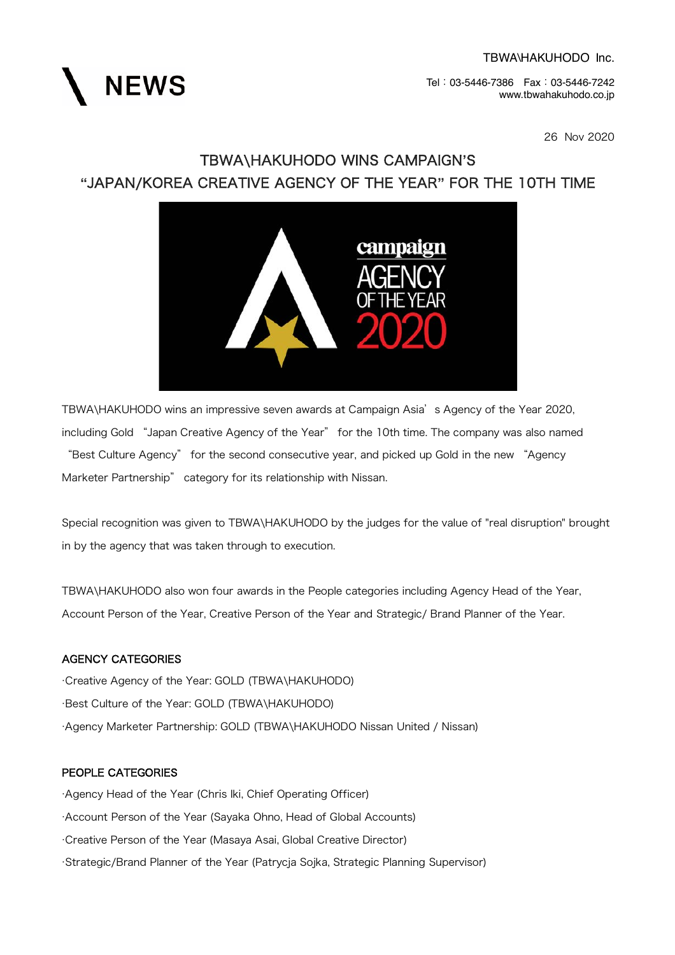**NEWS** 

Tel:03-5446-7386 Fax:03-5446-7242 www.tbwahakuhodo.co.jp

26 Nov 2020

### TBWA\HAKUHODO WINS CAMPAIGN**'**S **"**JAPAN/KOREA CREATIVE AGENCY OF THE YEAR**"** FOR THE 10TH TIME



TBWA\HAKUHODO wins an impressive seven awards at Campaign Asia's Agency of the Year 2020, including Gold "Japan Creative Agency of the Year" for the 10th time. The company was also named "Best Culture Agency" for the second consecutive year, and picked up Gold in the new "Agency Marketer Partnership" category for its relationship with Nissan.

Special recognition was given to TBWA\HAKUHODO by the judges for the value of "real disruption" brought in by the agency that was taken through to execution.

TBWA\HAKUHODO also won four awards in the People categories including Agency Head of the Year, Account Person of the Year, Creative Person of the Year and Strategic/ Brand Planner of the Year.

### AGENCY CATEGORIES

·Creative Agency of the Year: GOLD (TBWA\HAKUHODO) ·Best Culture of the Year: GOLD (TBWA\HAKUHODO) ·Agency Marketer Partnership: GOLD (TBWA\HAKUHODO Nissan United / Nissan)

### PEOPLE CATEGORIES

·Agency Head of the Year (Chris Iki, Chief Operating Officer) ·Account Person of the Year (Sayaka Ohno, Head of Global Accounts) ·Creative Person of the Year (Masaya Asai, Global Creative Director) ·Strategic/Brand Planner of the Year (Patrycja Sojka, Strategic Planning Supervisor)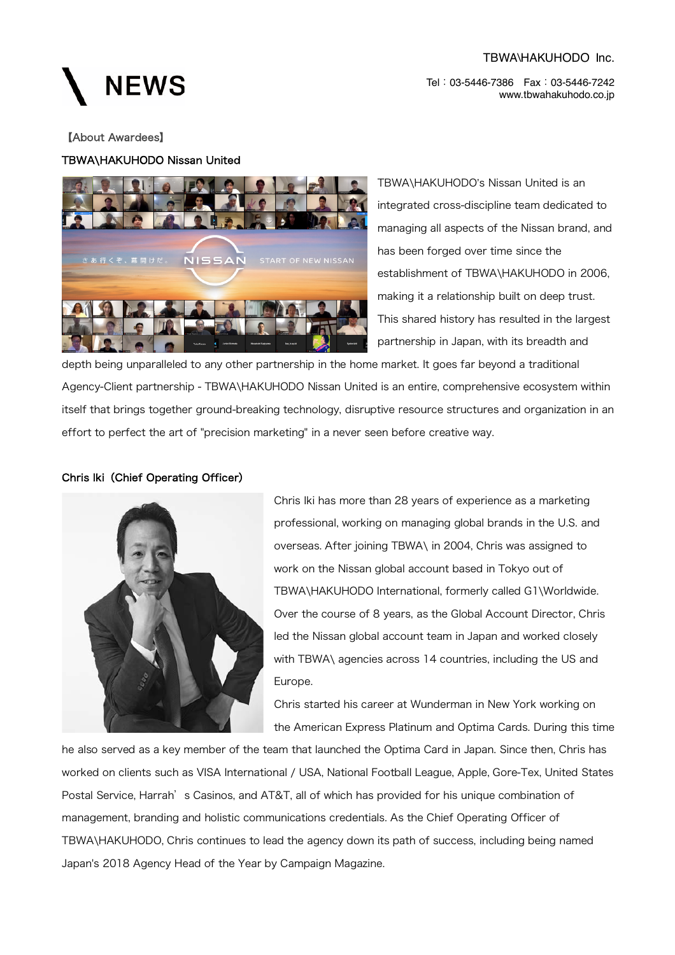#### TBWA\HAKUHODO Inc.

Tel:03-5446-7386 Fax:03-5446-7242 www.tbwahakuhodo.co.jp

### **NEWS**

### 【About Awardees】

### TBWA\HAKUHODO Nissan United



TBWA\HAKUHODO's Nissan United is an integrated cross-discipline team dedicated to managing all aspects of the Nissan brand, and has been forged over time since the establishment of TBWA\HAKUHODO in 2006, making it a relationship built on deep trust. This shared history has resulted in the largest partnership in Japan, with its breadth and

depth being unparalleled to any other partnership in the home market. It goes far beyond a traditional Agency-Client partnership - TBWA\HAKUHODO Nissan United is an entire, comprehensive ecosystem within itself that brings together ground-breaking technology, disruptive resource structures and organization in an effort to perfect the art of "precision marketing" in a never seen before creative way.

### Chris Iki(Chief Operating Officer)



Chris Iki has more than 28 years of experience as a marketing professional, working on managing global brands in the U.S. and overseas. After joining TBWA\ in 2004, Chris was assigned to work on the Nissan global account based in Tokyo out of TBWA\HAKUHODO International, formerly called G1\Worldwide. Over the course of 8 years, as the Global Account Director, Chris led the Nissan global account team in Japan and worked closely with TBWA\ agencies across 14 countries, including the US and Europe.

Chris started his career at Wunderman in New York working on the American Express Platinum and Optima Cards. During this time

he also served as a key member of the team that launched the Optima Card in Japan. Since then, Chris has worked on clients such as VISA International / USA, National Football League, Apple, Gore-Tex, United States Postal Service, Harrah's Casinos, and AT&T, all of which has provided for his unique combination of management, branding and holistic communications credentials. As the Chief Operating Officer of TBWA\HAKUHODO, Chris continues to lead the agency down its path of success, including being named Japan's 2018 Agency Head of the Year by Campaign Magazine.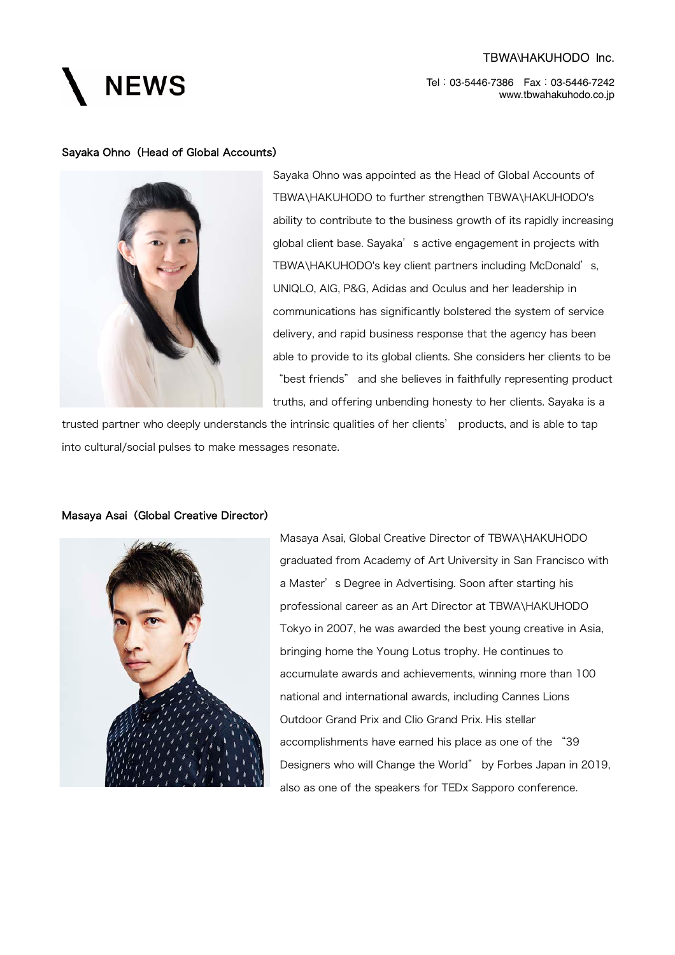# **NEWS**

### TBWA\HAKUHODO Inc.

Tel:03-5446-7386 Fax:03-5446-7242 www.tbwahakuhodo.co.jp

#### Sayaka Ohno (Head of Global Accounts)



Sayaka Ohno was appointed as the Head of Global Accounts of TBWA\HAKUHODO to further strengthen TBWA\HAKUHODO's ability to contribute to the business growth of its rapidly increasing global client base. Sayaka's active engagement in projects with TBWA\HAKUHODO's key client partners including McDonald's, UNIQLO, AIG, P&G, Adidas and Oculus and her leadership in communications has significantly bolstered the system of service delivery, and rapid business response that the agency has been able to provide to its global clients. She considers her clients to be "best friends" and she believes in faithfully representing product truths, and offering unbending honesty to her clients. Sayaka is a

trusted partner who deeply understands the intrinsic qualities of her clients' products, and is able to tap into cultural/social pulses to make messages resonate.



Masaya Asai (Global Creative Director)

Masaya Asai, Global Creative Director of TBWA\HAKUHODO graduated from Academy of Art University in San Francisco with a Master's Degree in Advertising. Soon after starting his professional career as an Art Director at TBWA\HAKUHODO Tokyo in 2007, he was awarded the best young creative in Asia, bringing home the Young Lotus trophy. He continues to accumulate awards and achievements, winning more than 100 national and international awards, including Cannes Lions Outdoor Grand Prix and Clio Grand Prix. His stellar accomplishments have earned his place as one of the "39 Designers who will Change the World" by Forbes Japan in 2019, also as one of the speakers for TEDx Sapporo conference.